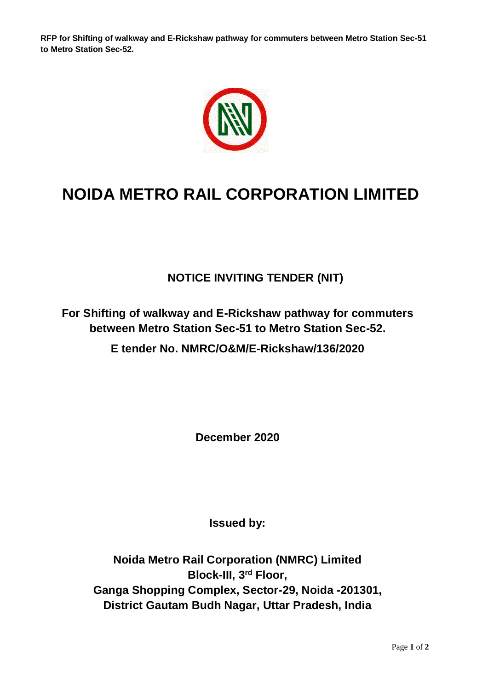**RFP for Shifting of walkway and E-Rickshaw pathway for commuters between Metro Station Sec-51 to Metro Station Sec-52.**



## **NOIDA METRO RAIL CORPORATION LIMITED**

**NOTICE INVITING TENDER (NIT)**

**For Shifting of walkway and E-Rickshaw pathway for commuters between Metro Station Sec-51 to Metro Station Sec-52.**

**E tender No. NMRC/O&M/E-Rickshaw/136/2020**

**December 2020**

**Issued by:**

**Noida Metro Rail Corporation (NMRC) Limited Block-III, 3rd Floor, Ganga Shopping Complex, Sector-29, Noida -201301, District Gautam Budh Nagar, Uttar Pradesh, India**